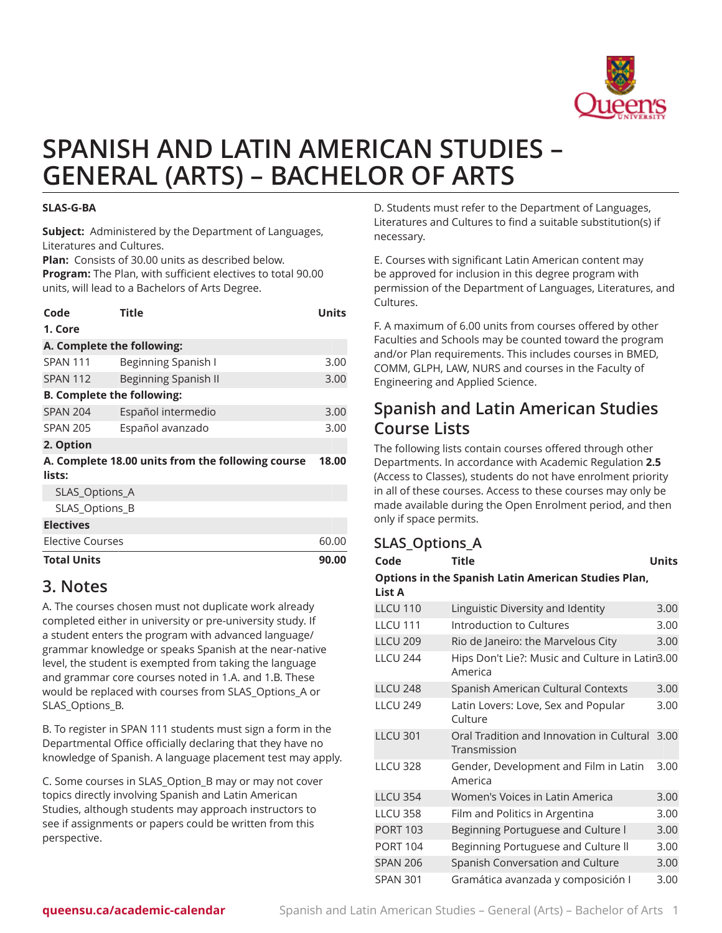

# **SPANISH AND LATIN AMERICAN STUDIES – GENERAL (ARTS) – BACHELOR OF ARTS**

#### **SLAS-G-BA**

**Subject:** Administered by the Department of Languages, Literatures and Cultures.

**Plan:** Consists of 30.00 units as described below.

**Program:** The Plan, with sufficient electives to total 90.00 units, will lead to a Bachelors of Arts Degree.

| Code                              | <b>Title</b>                                      | Units |  |  |
|-----------------------------------|---------------------------------------------------|-------|--|--|
| 1. Core                           |                                                   |       |  |  |
| A. Complete the following:        |                                                   |       |  |  |
| <b>SPAN 111</b>                   | Beginning Spanish I                               | 3.00  |  |  |
| <b>SPAN 112</b>                   | Beginning Spanish II                              | 3.00  |  |  |
| <b>B. Complete the following:</b> |                                                   |       |  |  |
| <b>SPAN 204</b>                   | Español intermedio                                | 3.00  |  |  |
| <b>SPAN 205</b>                   | Español avanzado                                  | 3.00  |  |  |
| 2. Option                         |                                                   |       |  |  |
|                                   | A. Complete 18.00 units from the following course | 18.00 |  |  |
| lists:                            |                                                   |       |  |  |
| SLAS_Options_A                    |                                                   |       |  |  |
| SLAS_Options_B                    |                                                   |       |  |  |
| <b>Electives</b>                  |                                                   |       |  |  |
| Elective Courses                  |                                                   | 60.00 |  |  |
| <b>Total Units</b>                |                                                   | 90.00 |  |  |

#### **3. Notes**

A. The courses chosen must not duplicate work already completed either in university or pre-university study. If a student enters the program with advanced language/ grammar knowledge or speaks Spanish at the near-native level, the student is exempted from taking the language and grammar core courses noted in 1.A. and 1.B. These would be replaced with courses from SLAS\_Options\_A or SLAS Options B.

B. To register in SPAN 111 students must sign a form in the Departmental Office officially declaring that they have no knowledge of Spanish. A language placement test may apply.

C. Some courses in SLAS\_Option\_B may or may not cover topics directly involving Spanish and Latin American Studies, although students may approach instructors to see if assignments or papers could be written from this perspective.

D. Students must refer to the Department of Languages, Literatures and Cultures to find a suitable substitution(s) if necessary.

E. Courses with significant Latin American content may be approved for inclusion in this degree program with permission of the Department of Languages, Literatures, and Cultures.

F. A maximum of 6.00 units from courses offered by other Faculties and Schools may be counted toward the program and/or Plan requirements. This includes courses in BMED, COMM, GLPH, LAW, NURS and courses in the Faculty of Engineering and Applied Science.

### **Spanish and Latin American Studies Course Lists**

The following lists contain courses offered through other Departments. In accordance with Academic Regulation **2.5** (Access to Classes), students do not have enrolment priority in all of these courses. Access to these courses may only be made available during the Open Enrolment period, and then only if space permits.

| <b>SLAS_Options_A</b>                                         |                                                            |              |  |  |  |
|---------------------------------------------------------------|------------------------------------------------------------|--------------|--|--|--|
| Code                                                          | <b>Title</b>                                               | <b>Units</b> |  |  |  |
| Options in the Spanish Latin American Studies Plan,<br>List A |                                                            |              |  |  |  |
| <b>LLCU 110</b>                                               | Linguistic Diversity and Identity                          | 3.00         |  |  |  |
| <b>LLCU 111</b>                                               | Introduction to Cultures                                   | 3.00         |  |  |  |
| <b>LLCU 209</b>                                               | Rio de Janeiro: the Marvelous City                         | 3.00         |  |  |  |
| <b>LLCU 244</b>                                               | Hips Don't Lie?: Music and Culture in Latin3.00<br>America |              |  |  |  |
| <b>LLCU 248</b>                                               | Spanish American Cultural Contexts                         | 3.00         |  |  |  |
| <b>LLCU 249</b>                                               | Latin Lovers: Love, Sex and Popular<br>Culture             | 3.00         |  |  |  |
| <b>IICU301</b>                                                | Oral Tradition and Innovation in Cultural<br>Transmission  | 3.00         |  |  |  |
| <b>LLCU 328</b>                                               | Gender, Development and Film in Latin<br>America           | 3.00         |  |  |  |
| <b>LLCU 354</b>                                               | Women's Voices in Latin America                            | 3.00         |  |  |  |
| <b>LLCU 358</b>                                               | Film and Politics in Argentina                             | 3.00         |  |  |  |
| <b>PORT 103</b>                                               | Beginning Portuguese and Culture I                         | 3.00         |  |  |  |
| <b>PORT 104</b>                                               | Beginning Portuguese and Culture II                        | 3.00         |  |  |  |
| <b>SPAN 206</b>                                               | Spanish Conversation and Culture                           | 3.00         |  |  |  |
| <b>SPAN 301</b>                                               | Gramática avanzada y composición I                         | 3.00         |  |  |  |